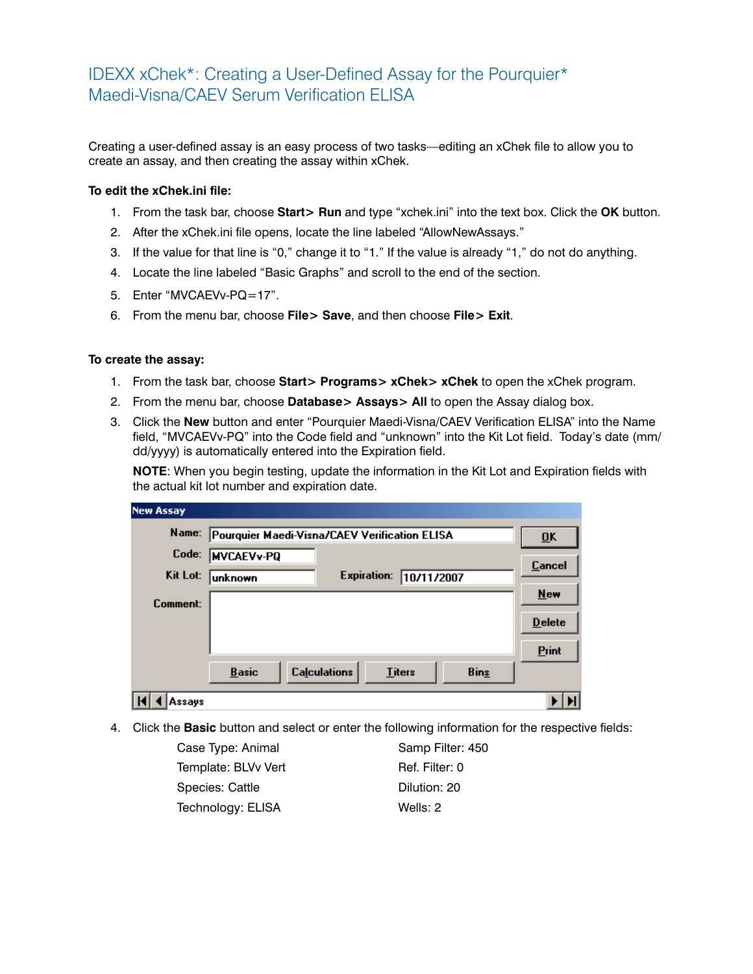## IDEXX xChek\*: Creating a User-Defined Assay for the Pourquier\* Maedi-Visna/CAEV Serum Verification ELISA

Creating a user-defined assay is an easy process of two tasks—editing an xChek file to allow you to create an assay, and then creating the assay within xChek.

## **To edit the xChek.ini file:**

- 1. From the task bar, choose **Start> Run** and type "xchek.ini" into the text box. Click the **OK** button.
- 2. After the xChek.ini file opens, locate the line labeled "AllowNewAssays."
- 3. If the value for that line is "0," change it to "1." If the value is already "1," do not do anything.
- 4. Locate the line labeled "Basic Graphs" and scroll to the end of the section.
- 5. Enter "MVCAEVv-PQ=17".
- 6. From the menu bar, choose **File> Save**, and then choose **File> Exit**.

## **To create the assay:**

- 1. From the task bar, choose **Start> Programs> xChek> xChek** to open the xChek program.
- 2. From the menu bar, choose **Database> Assays> All** to open the Assay dialog box.
- 3. Click the **New** button and enter "Pourquier Maedi-Visna/CAEV Verification ELISA" into the Name field, "MVCAEVv-PQ" into the Code field and "unknown" into the Kit Lot field. Today's date (mm/ dd/yyyy) is automatically entered into the Expiration field.

**NOTE**: When you begin testing, update the information in the Kit Lot and Expiration fields with the actual kit lot number and expiration date.

| <b>New Assay</b> |                                               |                                      |             |                  |
|------------------|-----------------------------------------------|--------------------------------------|-------------|------------------|
| Name:            | Pourquier Maedi-Visna/CAEV Verification ELISA |                                      |             | $\overline{0}$ K |
| Code:            | <b>MVCAEVv-PQ</b>                             |                                      |             | Cancel           |
| Kit Lot:         | <b>lunknown</b>                               | <b>Expiration:</b><br>10/11/2007     |             |                  |
| Comment:         |                                               |                                      |             | New              |
|                  |                                               |                                      |             | <b>Delete</b>    |
|                  |                                               |                                      |             | Print            |
|                  | <b>Basic</b>                                  | <b>Calculations</b><br><b>Titers</b> | <b>Bins</b> |                  |
| Assays           |                                               |                                      |             |                  |

4. Click the **Basic** button and select or enter the following information for the respective fields:

| Case Type: Animal   | Samp Filter: 450 |
|---------------------|------------------|
| Template: BLVv Vert | Ref. Filter: 0   |
| Species: Cattle     | Dilution: 20     |
| Technology: ELISA   | Wells: 2         |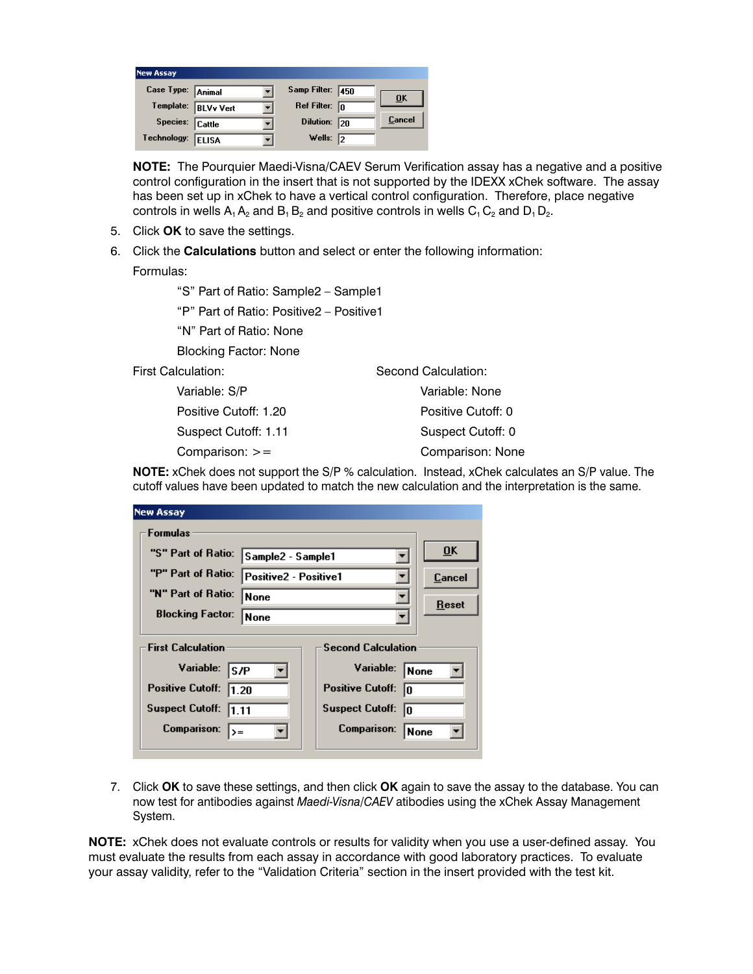| <b>New Assay</b>  |                     |                        |                           |
|-------------------|---------------------|------------------------|---------------------------|
| Case Type: Animal |                     | Samp Filter: 450       | $\overline{\mathbf{0}}$ K |
|                   | Template: BLVv Vert | Ref Filter: $\sqrt{n}$ |                           |
| Species: Cattle   |                     | Dilution: 20           | Cancel                    |
| Technology:       | ELISA               | Wells: $\sqrt{2}$      |                           |

**NOTE:** The Pourquier Maedi-Visna/CAEV Serum Verification assay has a negative and a positive control configuration in the insert that is not supported by the IDEXX xChek software. The assay has been set up in xChek to have a vertical control configuration. Therefore, place negative controls in wells  $A_1 A_2$  and  $B_1 B_2$  and positive controls in wells  $C_1 C_2$  and  $D_1 D_2$ .

- 5. Click **OK** to save the settings.
- 6. Click the **Calculations** button and select or enter the following information:

Formulas:

"S" Part of Ratio: Sample2 – Sample1

"P" Part of Ratio: Positive2 – Positive1

"N" Part of Ratio: None

Blocking Factor: None

First Calculation:

 Variable: S/P Positive Cutoff: 1.20 Suspect Cutoff: 1.11 Comparison: >=

Second Calculation: Variable: None Positive Cutoff: 0 Suspect Cutoff: 0 Comparison: None

**NOTE:** xChek does not support the S/P % calculation. Instead, xChek calculates an S/P value. The cutoff values have been updated to match the new calculation and the interpretation is the same.

| <b>New Assay</b>                                      |                              |                                                     |        |  |
|-------------------------------------------------------|------------------------------|-----------------------------------------------------|--------|--|
| Formulas                                              |                              |                                                     |        |  |
| "S" Part of Ratio:                                    | Sample2 - Sample1            |                                                     | ŪK     |  |
| "P" Part of Ratio:                                    | <b>Positive2 - Positive1</b> |                                                     | Cancel |  |
| "N" Part of Ratio:                                    | None                         |                                                     | Reset  |  |
| <b>Blocking Factor:</b>                               | None                         |                                                     |        |  |
| <b>First Calculation</b><br><b>Second Calculation</b> |                              |                                                     |        |  |
| Variable:<br>ls/P<br><b>Positive Cutoff:</b><br>1.20  |                              | Variable:<br> None<br><b>Positive Cutoff:</b><br>In |        |  |
| <b>Suspect Cutoff:</b><br>11.11                       |                              | <b>Suspect Cutoff:</b><br>In                        |        |  |
| Comparison:<br>l>=                                    |                              | Comparison:                                         | None   |  |

7. Click **OK** to save these settings, and then click **OK** again to save the assay to the database. You can now test for antibodies against *Maedi-Visna/CAEV* atibodies using the xChek Assay Management System.

**NOTE:** xChek does not evaluate controls or results for validity when you use a user-defined assay. You must evaluate the results from each assay in accordance with good laboratory practices. To evaluate your assay validity, refer to the "Validation Criteria" section in the insert provided with the test kit.